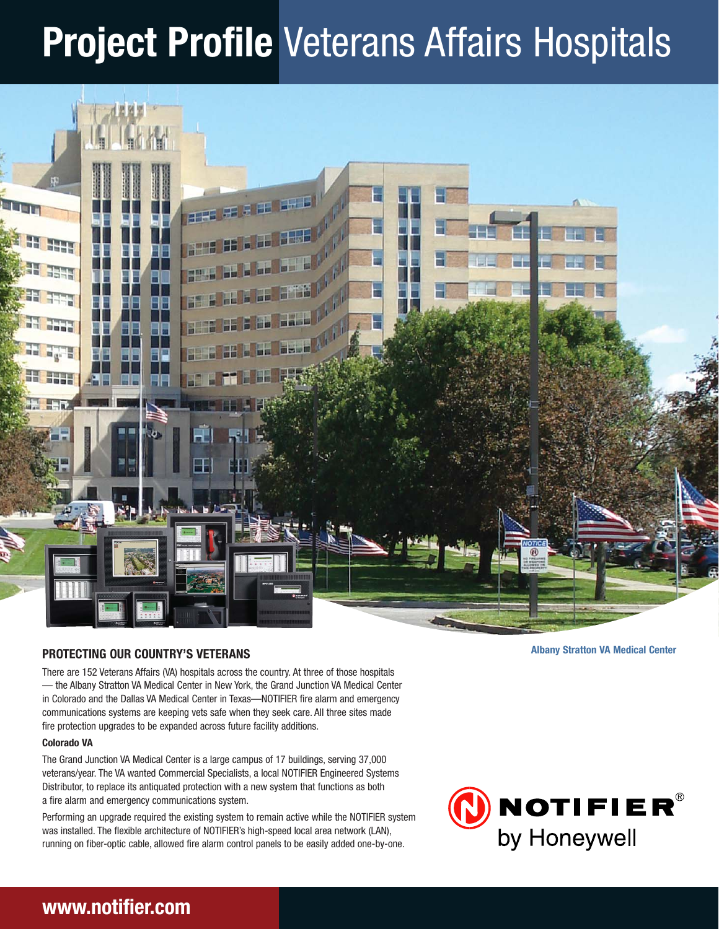# **Project Profile** Veterans Affairs Hospitals



## **PROTECTING OUR COUNTRY'S VETERANS**

**Albany Stratton VA Medical Center**

There are 152 Veterans Affairs (VA) hospitals across the country. At three of those hospitals — the Albany Stratton VA Medical Center in New York, the Grand Junction VA Medical Center in Colorado and the Dallas VA Medical Center in Texas—NOTIFIER fire alarm and emergency communications systems are keeping vets safe when they seek care. All three sites made fire protection upgrades to be expanded across future facility additions.

### **Colorado VA**

The Grand Junction VA Medical Center is a large campus of 17 buildings, serving 37,000 veterans/year. The VA wanted Commercial Specialists, a local NOTIFIER Engineered Systems Distributor, to replace its antiquated protection with a new system that functions as both a fire alarm and emergency communications system.

Performing an upgrade required the existing system to remain active while the NOTIFIER system was installed. The flexible architecture of NOTIFIER's high-speed local area network (LAN), running on fiber-optic cable, allowed fire alarm control panels to be easily added one-by-one.



# **www.notifier.com**